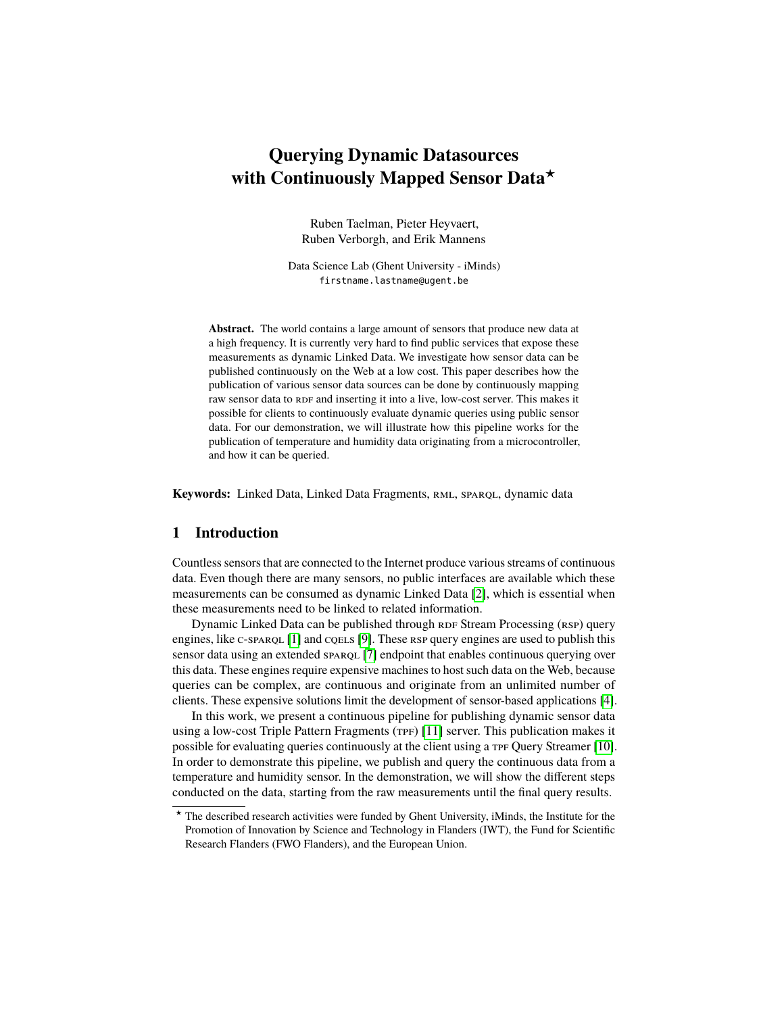# **Querying Dynamic Datasources with Continuously Mapped Sensor Data**?

Ruben Taelman, Pieter Heyvaert, Ruben Verborgh, and Erik Mannens

Data Science Lab (Ghent University - iMinds) firstname.lastname@ugent.be

**Abstract.** The world contains a large amount of sensors that produce new data at a high frequency. It is currently very hard to find public services that expose these measurements as dynamic Linked Data. We investigate how sensor data can be published continuously on the Web at a low cost. This paper describes how the publication of various sensor data sources can be done by continuously mapping raw sensor data to RDF and inserting it into a live, low-cost server. This makes it possible for clients to continuously evaluate dynamic queries using public sensor data. For our demonstration, we will illustrate how this pipeline works for the publication of temperature and humidity data originating from a microcontroller, and how it can be queried.

**Keywords:** Linked Data, Linked Data Fragments, RML, SPAROL, dynamic data

## **1 Introduction**

Countless sensors that are connected to the Internet produce various streams of continuous data. Even though there are many sensors, no public interfaces are available which these measurements can be consumed as dynamic Linked Data [\[2\]](#page-3-0), which is essential when these measurements need to be linked to related information.

Dynamic Linked Data can be published through RDF Stream Processing (RSP) query engines, like  $c$ -sparqu  $[1]$  and cqels  $[9]$ . These rsp query engines are used to publish this sensor data using an extended sparqu [\[7\]](#page-3-3) endpoint that enables continuous querying over this data. These engines require expensive machines to host such data on the Web, because queries can be complex, are continuous and originate from an unlimited number of clients. These expensive solutions limit the development of sensor-based applications [\[4\]](#page-3-4).

In this work, we present a continuous pipeline for publishing dynamic sensor data using a low-cost Triple Pattern Fragments (TPF) [\[11\]](#page-3-5) server. This publication makes it possible for evaluating queries continuously at the client using a TPF Query Streamer [\[10\]](#page-3-6). In order to demonstrate this pipeline, we publish and query the continuous data from a temperature and humidity sensor. In the demonstration, we will show the different steps conducted on the data, starting from the raw measurements until the final query results.

<sup>?</sup> The described research activities were funded by Ghent University, iMinds, the Institute for the Promotion of Innovation by Science and Technology in Flanders (IWT), the Fund for Scientific Research Flanders (FWO Flanders), and the European Union.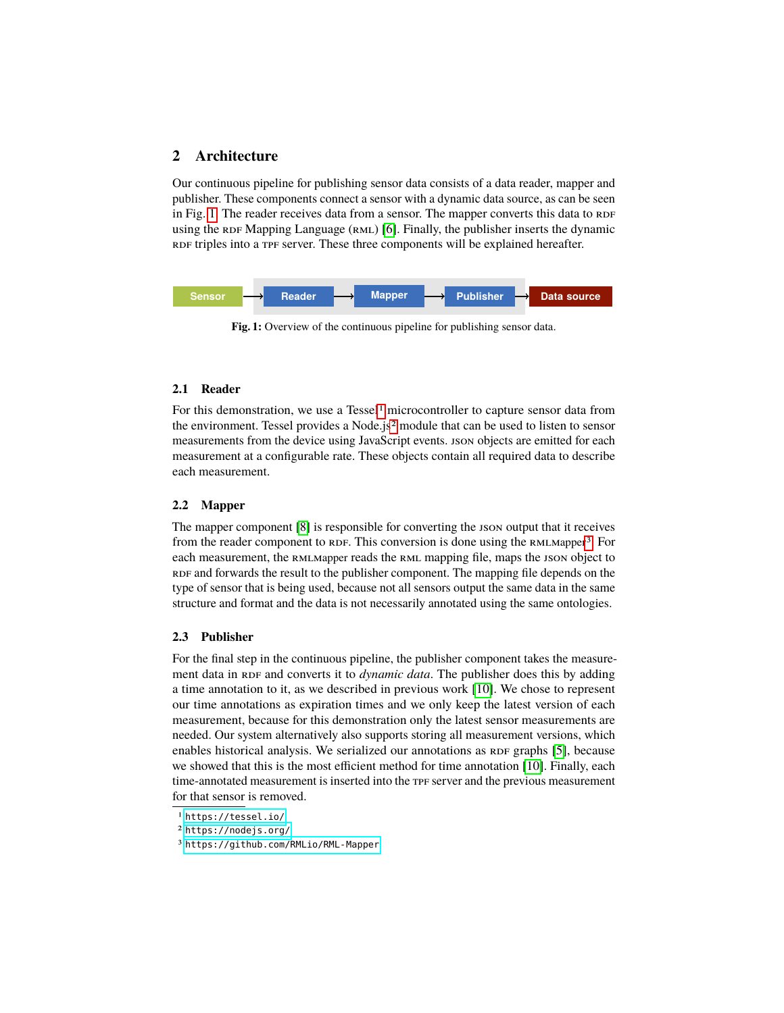# **2 Architecture**

Our continuous pipeline for publishing sensor data consists of a data reader, mapper and publisher. These components connect a sensor with a dynamic data source, as can be seen in Fig. [1.](#page-1-0) The reader receives data from a sensor. The mapper converts this data to  $RDF$ using the  $RDF$  Mapping Language ( $RML$ ) [\[6\]](#page-3-7). Finally, the publisher inserts the dynamic RDF triples into a TPF server. These three components will be explained hereafter.

<span id="page-1-0"></span>

**Fig. 1:** Overview of the continuous pipeline for publishing sensor data.

#### **2.1 Reader**

For this demonstration, we use a  $T$ essel<sup>[1](#page-1-1)</sup> microcontroller to capture sensor data from the environment. Tessel provides a Node.js[2](#page-1-2) module that can be used to listen to sensor measurements from the device using JavaScript events. json objects are emitted for each measurement at a configurable rate. These objects contain all required data to describe each measurement.

#### **2.2 Mapper**

The mapper component [\[8\]](#page-3-8) is responsible for converting the JSON output that it receives from the reader component to RDF. This conversion is done using the RMLMapper<sup>[3](#page-1-3)</sup>. For each measurement, the RMLMapper reads the RML mapping file, maps the json object to RDF and forwards the result to the publisher component. The mapping file depends on the type of sensor that is being used, because not all sensors output the same data in the same structure and format and the data is not necessarily annotated using the same ontologies.

#### **2.3 Publisher**

For the final step in the continuous pipeline, the publisher component takes the measurement data in RDF and converts it to *dynamic data*. The publisher does this by adding a time annotation to it, as we described in previous work [\[10\]](#page-3-6). We chose to represent our time annotations as expiration times and we only keep the latest version of each measurement, because for this demonstration only the latest sensor measurements are needed. Our system alternatively also supports storing all measurement versions, which enables historical analysis. We serialized our annotations as RDF graphs [\[5\]](#page-3-9), because we showed that this is the most efficient method for time annotation [\[10\]](#page-3-6). Finally, each time-annotated measurement is inserted into the TPF server and the previous measurement for that sensor is removed.

<span id="page-1-1"></span><sup>1</sup> <https://tessel.io/>

<span id="page-1-2"></span><sup>2</sup> <https://nodejs.org/>

<span id="page-1-3"></span><sup>3</sup> <https://github.com/RMLio/RML-Mapper>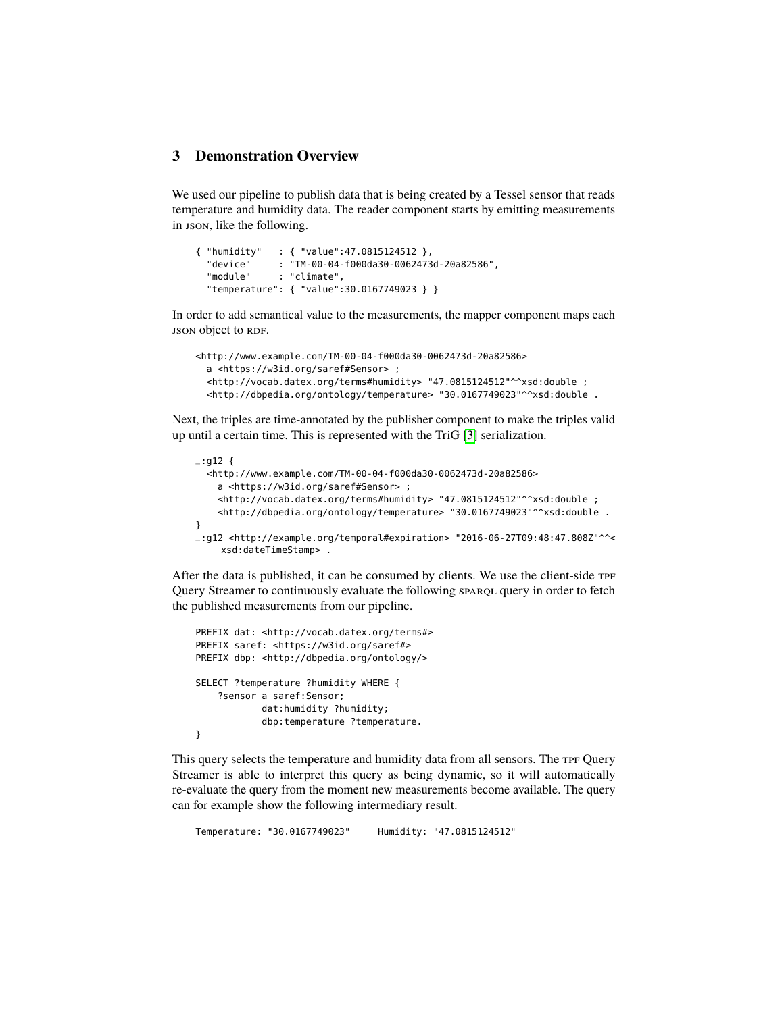# **3 Demonstration Overview**

We used our pipeline to publish data that is being created by a Tessel sensor that reads temperature and humidity data. The reader component starts by emitting measurements in json, like the following.

```
{ "humidity" : { "value":47.0815124512 },
  "device" : "TM-00-04-f000da30-0062473d-20a82586",
  "module" : "climate",
 "temperature": { "value":30.0167749023 } }
```
In order to add semantical value to the measurements, the mapper component maps each **json** object to RDF.

```
<http://www.example.com/TM-00-04-f000da30-0062473d-20a82586>
  a <https://w3id.org/saref#Sensor> ;
  <http://vocab.datex.org/terms#humidity> "47.0815124512"^^xsd:double ;
  <http://dbpedia.org/ontology/temperature> "30.0167749023"^^xsd:double .
```
Next, the triples are time-annotated by the publisher component to make the triples valid up until a certain time. This is represented with the TriG [\[3\]](#page-3-10) serialization.

```
-:g12 {
 <http://www.example.com/TM-00-04-f000da30-0062473d-20a82586>
    a <https://w3id.org/saref#Sensor> ;
    <http://vocab.datex.org/terms#humidity> "47.0815124512"^^xsd:double ;
    <http://dbpedia.org/ontology/temperature> "30.0167749023"^^xsd:double .
}
_:g12 <http://example.org/temporal#expiration> "2016-06-27T09:48:47.808Z"^^<
    xsd:dateTimeStamp> .
```
After the data is published, it can be consumed by clients. We use the client-side TPF Query Streamer to continuously evaluate the following sparque query in order to fetch the published measurements from our pipeline.

```
PREFIX dat: <http://vocab.datex.org/terms#>
PREFIX saref: <https://w3id.org/saref#>
PREFIX dbp: <http://dbpedia.org/ontology/>
SELECT ?temperature ?humidity WHERE {
    ?sensor a saref:Sensor;
            dat:humidity ?humidity;
            dbp:temperature ?temperature.
}
```
This query selects the temperature and humidity data from all sensors. The TPF Query Streamer is able to interpret this query as being dynamic, so it will automatically re-evaluate the query from the moment new measurements become available. The query can for example show the following intermediary result.

Temperature: "30.0167749023" Humidity: "47.0815124512"